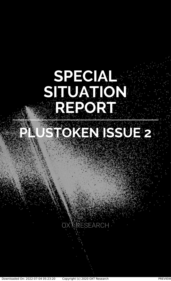# **SPECIAL SITUATION REPORT**

## **PLUSTOKEN ISSUE 2**

### OXT RESEARCH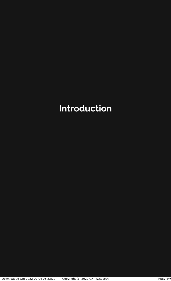### **Introduction**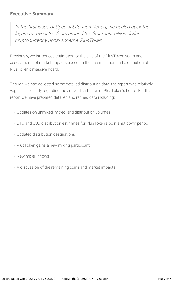#### **Executive Summary**

In the first issue of Special Situation Report, we peeled back the layers to reveal the facts around the first multi-billion dollar cryptocurrency ponzi scheme, PlusToken.

Previously, we introduced estimates for the size of the PlusToken scam and assessments of market impacts based on the accumulation and distribution of PlusToken's massive hoard.

Though we had collected some detailed distribution data, the report was relatively vague, particularly regarding the active distribution of PlusToken's hoard. For this report we have prepared detailed and refined data including:

- Updates on unmixed, mixed, and distribution volumes
- BTC and USD distribution estimates for PlusToken's post-shut down period
- Updated distribution destinations
- PlusToken gains a new mixing participant
- New mixer inflows
- A discussion of the remaining coins and market impacts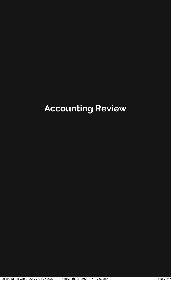### **Accounting Review**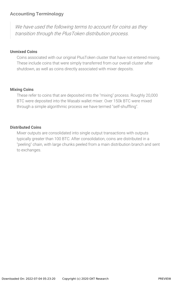#### **Accounting Terminology**

We have used the following terms to account for coins as they transition through the PlusToken distribution process.

#### **Unmixed Coins**

Coins associated with our original PlusToken cluster that have not entered mixing. These include coins that were simply transferred from our overall cluster after shutdown, as well as coins directly associated with mixer deposits.

#### **Mixing Coins**

These refer to coins that are deposited into the "mixing" process. Roughly 20,000 BTC were deposited into the Wasabi wallet mixer. Over 150k BTC were mixed through a simple algorithmic process we have termed "self-shuffling".

#### **Distributed Coins**

Mixer outputs are consolidated into single output transactions with outputs typically greater than 100 BTC. After consolidation, coins are distributed in a "peeling" chain, with large chunks peeled from a main distribution branch and sent to exchanges.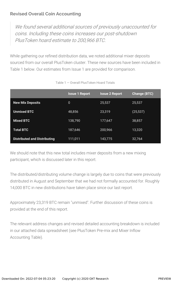#### **Revised Overall Coin Accounting**

We found several additional sources of previously unaccounted for coins. Including these coins increases our post-shutdown PlusToken hoard estimate to 200,966 BTC.

While gathering our refined distribution data, we noted additional mixer deposits sourced from our overall PlusToken cluster. These new sources have been included in Table 1 below. Our estimates from Issue 1 are provided for comparison.

|                                     | <b>Issue 1 Report</b> | <b>Issue 2 Report</b> | <b>Change (BTC)</b> |
|-------------------------------------|-----------------------|-----------------------|---------------------|
| <b>New Mix Deposits</b>             | $\mathbf 0$           | 25,537                | 25,537              |
| <b>Unmixed BTC</b>                  | 48,856                | 23,319                | (25, 537)           |
| <b>Mixed BTC</b>                    | 138,790               | 177,647               | 38,857              |
| <b>Total BTC</b>                    | 187,646               | 200,966               | 13,320              |
| <b>Distributed and Distributing</b> | 111,011               | 143,775               | 32,764              |

#### Table 1 — Overall PlusToken Hoard Totals

We should note that this new total includes mixer deposits from a new mixing participant, which is discussed later in this report.

The distributed/distributing volume change is largely due to coins that were previously distributed in August and September that we had not formally accounted for. Roughly 14,000 BTC in new distributions have taken place since our last report.

Approximately 23,319 BTC remain "unmixed". Further discussion of these coins is provided at the end of this report.

The relevant address changes and revised detailed accounting breakdown is included in our attached data spreadsheet (see PlusToken Pre-mix and Mixer Inflow Accounting Table).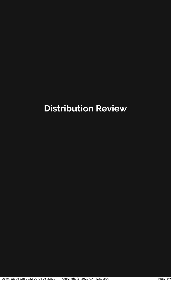### **Distribution Review**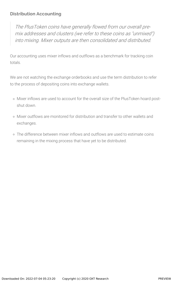#### **Distribution Accounting**

The PlusToken coins have generally flowed from our overall premix addresses and clusters (we refer to these coins as "unmixed") into mixing. Mixer outputs are then consolidated and distributed.

Our accounting uses mixer inflows and outflows as a benchmark for tracking coin totals.

We are not watching the exchange orderbooks and use the term distribution to refer to the process of depositing coins into exchange wallets.

- Mixer inflows are used to account for the overall size of the PlusToken hoard postshut down.
- Mixer outflows are monitored for distribution and transfer to other wallets and exchanges.
- The difference between mixer inflows and outflows are used to estimate coins remaining in the mixing process that have yet to be distributed.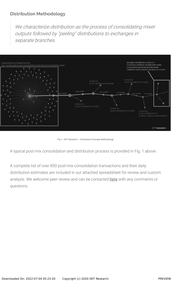We characterize distribution as the process of consolidating mixer outputs followed by "peeling" distributions to exchanges in separate branches.



Fig.1 - OXT Research — Distribution Example Methodology

A typical post-mix consolidation and distribution process is provided in Fig. 1 above.

A complete list of over 850 post-mix consolidation transactions and their daily distribution estimates are included in our attached spreadsheet for review and custom analysis. We welcome peer review and can be contacted [here](mailto:ergo@oxtresearch.com) with any comments or questions.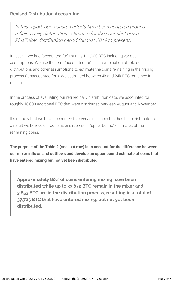#### **Revised Distribution Accounting**

In this report, our research efforts have been centered around refining daily distribution estimates for the post-shut down PlusToken distribution period (August 2019 to present).

In Issue 1 we had "accounted for" roughly 111,000 BTC including various assumptions. We use the term "accounted for" as a combination of totaled distributions and other assumptions to estimate the coins remaining in the mixing process ("unaccounted for"). We estimated between 4k and 24k BTC remained in mixing.

In the process of evaluating our refined daily distribution data, we accounted for roughly 18,000 additional BTC that were distributed between August and November.

It's unlikely that we have accounted for every single coin that has been distributed, as a result we believe our conclusions represent "upper bound" estimates of the remaining coins.

**The purpose of the Table 2 (see last row) is to account for the difference between our mixer inflows and outflows and develop an upper bound estimate of coins that have entered mixing but not yet been distributed.**

**Approximately 80% of coins entering mixing have been distributed while up to 33,872 BTC remain in the mixer and 3,853 BTC are in the distribution process, resulting in a total of 37,725 BTC that have entered mixing, but not yet been distributed.**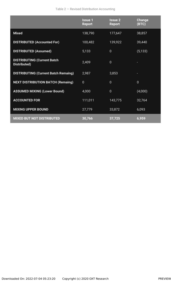|                                                    | <b>Issue 1</b><br><b>Report</b> | <b>Issue 2</b><br><b>Report</b> | <b>Change</b><br>(BTC) |
|----------------------------------------------------|---------------------------------|---------------------------------|------------------------|
| <b>Mixed</b>                                       | 138,790                         | 177,647                         | 38,857                 |
| <b>DISTRIBUTED (Accounted For)</b>                 | 100,482                         | 139,922                         | 39,440                 |
| <b>DISTRIBUTED (Assumed)</b>                       | 5,133                           | $\overline{0}$                  | (5, 133)               |
| <b>DISTRIBUTING (Current Batch</b><br>Distributed) | 2,409                           | $\overline{0}$                  | ٠                      |
| <b>DISTRIBUTING (Current Batch Remaing)</b>        | 2,987                           | 3,853                           | ٠                      |
| <b>NEXT DISTRIBUTION BATCH (Remaing)</b>           | $\overline{0}$                  | $\overline{0}$                  | $\overline{0}$         |
| <b>ASSUMED MIXING (Lower Bound)</b>                | 4,000                           | $\overline{0}$                  | (4,000)                |
| <b>ACCOUNTED FOR</b>                               | 111,011                         | 143,775                         | 32,764                 |
| <b>MIXING UPPER BOUND</b>                          | 27,779                          | 33,872                          | 6,093                  |
| <b>MIXED BUT NOT DISTRIBUTED</b>                   | 30,766                          | 37,725                          | 6,959                  |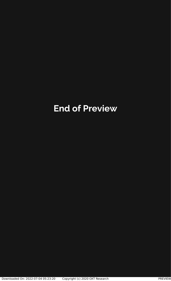### **End of Preview**